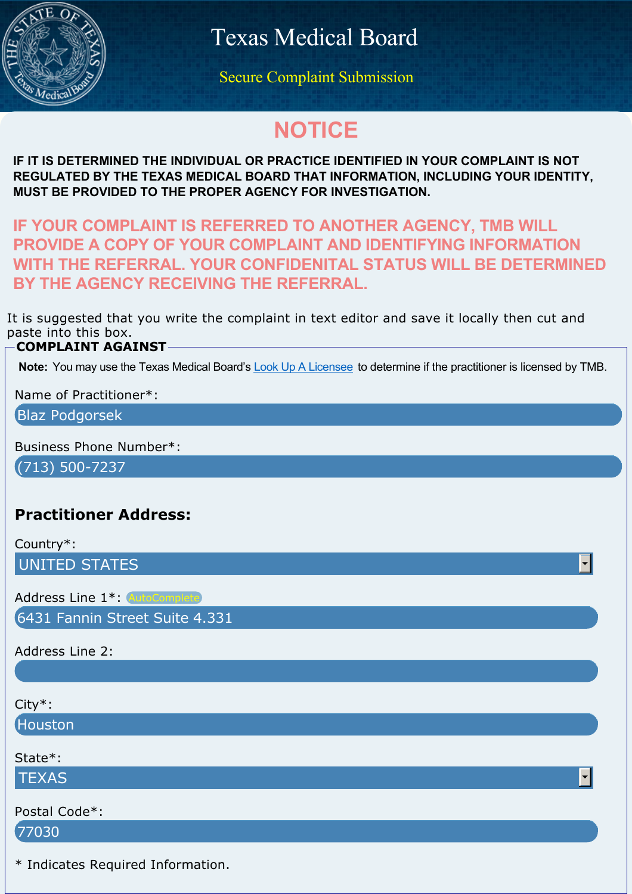

Texas Medical Board

Secure Complaint Submission

# **NOTICE**

**IF IT IS DETERMINED THE INDIVIDUAL OR PRACTICE IDENTIFIED IN YOUR COMPLAINT IS NOT REGULATED BY THE TEXAS MEDICAL BOARD THAT INFORMATION, INCLUDING YOUR IDENTITY, MUST BE PROVIDED TO THE PROPER AGENCY FOR INVESTIGATION.**

**IF YOUR COMPLAINT IS REFERRED TO ANOTHER AGENCY, TMB WILL PROVIDE A COPY OF YOUR COMPLAINT AND IDENTIFYING INFORMATION WITH THE REFERRAL. YOUR CONFIDENITAL STATUS WILL BE DETERMINED BY THE AGENCY RECEIVING THE REFERRAL.**

It is suggested that you write the complaint in text editor and save it locally then cut and paste into this box.

#### **COMPLAINT AGAINST**

**Note:** You may use the Texas Medical Board's [Look Up A Licensee](https://profile.tmb.state.tx.us) to determine if the practitioner is licensed by TMB.

Name of Practitioner\*:

Blaz Podgorsek

Business Phone Number\*:

(713) 500-7237

## **Practitioner Address:**

Country\*:

UNITED STATES

Address Line 1\*: AutoComplete

6431 Fannin Street Suite 4.331

Address Line 2:

City\*:

Houston

State\*:

**TEXAS** 

Postal Code\*:

77030

\* Indicates Required Information.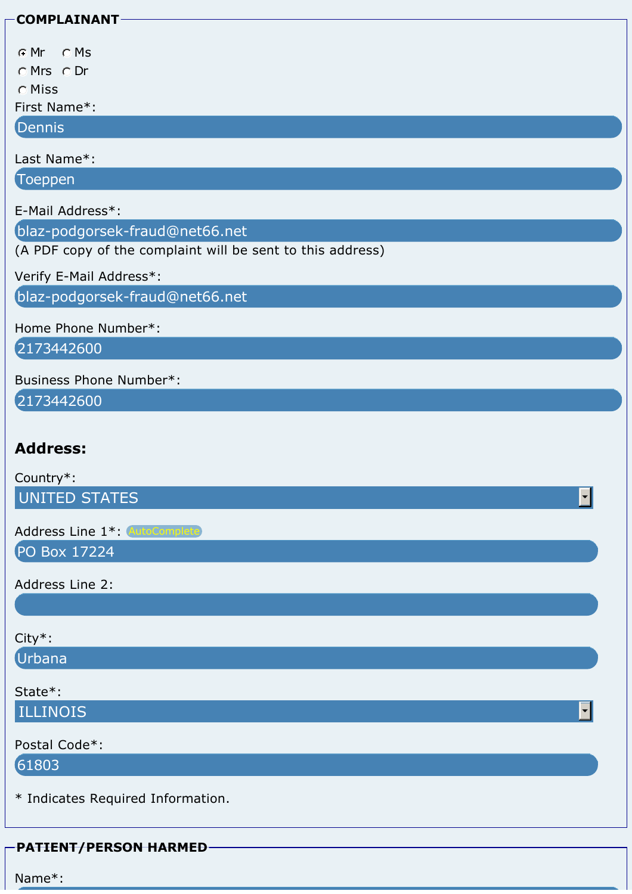| <b>COMPLAINANT</b>                                                                           |  |
|----------------------------------------------------------------------------------------------|--|
| $\circ$ Ms<br>$\cap$ Mr<br>OMrs ODr                                                          |  |
| <b>O</b> Miss<br>First Name*:                                                                |  |
| Dennis                                                                                       |  |
| Last Name*:<br>Toeppen                                                                       |  |
| E-Mail Address*:                                                                             |  |
| blaz-podgorsek-fraud@net66.net<br>(A PDF copy of the complaint will be sent to this address) |  |
| Verify E-Mail Address*:                                                                      |  |
| blaz-podgorsek-fraud@net66.net                                                               |  |
| Home Phone Number*:                                                                          |  |
| 2173442600                                                                                   |  |
| Business Phone Number*:<br>2173442600                                                        |  |
| <b>Address:</b>                                                                              |  |
| Country*:                                                                                    |  |
| <b>UNITED STATES</b><br>▼∣                                                                   |  |
| Address Line 1*: AutoComplete<br>PO Box 17224                                                |  |
|                                                                                              |  |
| Address Line 2:                                                                              |  |
| City*:                                                                                       |  |
| Urbana                                                                                       |  |
| State*:                                                                                      |  |
| <b>ILLINOIS</b><br>▾                                                                         |  |
| Postal Code*:                                                                                |  |
| 61803                                                                                        |  |
| * Indicates Required Information.                                                            |  |
| <b>PATIENT/PERSON HARMED</b>                                                                 |  |
| Name*:                                                                                       |  |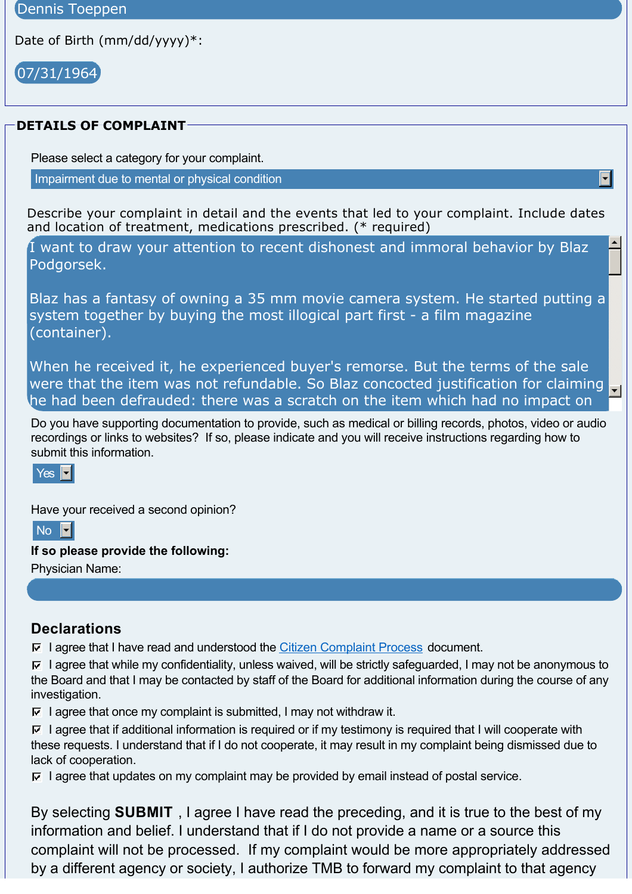Date of Birth (mm/dd/yyyy)\*:

07/31/1964

#### **DETAILS OF COMPLAINT**

Please select a category for your complaint.

Impairment due to mental or physical condition

Describe your complaint in detail and the events that led to your complaint. Include dates and location of treatment, medications prescribed. (\* required)

I want to draw your attention to recent dishonest and immoral behavior by Blaz Podgorsek.

Blaz has a fantasy of owning a 35 mm movie camera system. He started putting a system together by buying the most illogical part first - a film magazine (container).

When he received it, he experienced buyer's remorse. But the terms of the sale were that the item was not refundable. So Blaz concocted justification for claiming  $\mathbf{I}$ he had been defrauded: there was a scratch on the item which had no impact on

Do you have supporting documentation to provide, such as medical or billing records, photos, video or audio recordings or links to websites? If so, please indicate and you will receive instructions regarding how to submit this information.

#### $Yes \nightharpoonup$

Have your received a second opinion?

 $No$   $\blacksquare$ 

**If so please provide the following:**

Physician Name:

### **Declarations**

 $\nabla$  I agree that I have read and understood the [Citizen Complaint Process](http://www.tmb.state.tx.us/idl/4F35B7CE-C60A-3FB4-D44F-63CB5C3226CC) document.

 $\nabla$  I agree that while my confidentiality, unless waived, will be strictly safeguarded, I may not be anonymous to the Board and that I may be contacted by staff of the Board for additional information during the course of any investigation.

 $\overline{V}$  I agree that once my complaint is submitted, I may not withdraw it.

 $\nabla$  I agree that if additional information is required or if my testimony is required that I will cooperate with these requests. I understand that if I do not cooperate, it may result in my complaint being dismissed due to lack of cooperation.

 $\nabla$  I agree that updates on my complaint may be provided by email instead of postal service.

By selecting **SUBMIT** , I agree I have read the preceding, and it is true to the best of my information and belief. I understand that if I do not provide a name or a source this complaint will not be processed. If my complaint would be more appropriately addressed by a different agency or society, I authorize TMB to forward my complaint to that agency